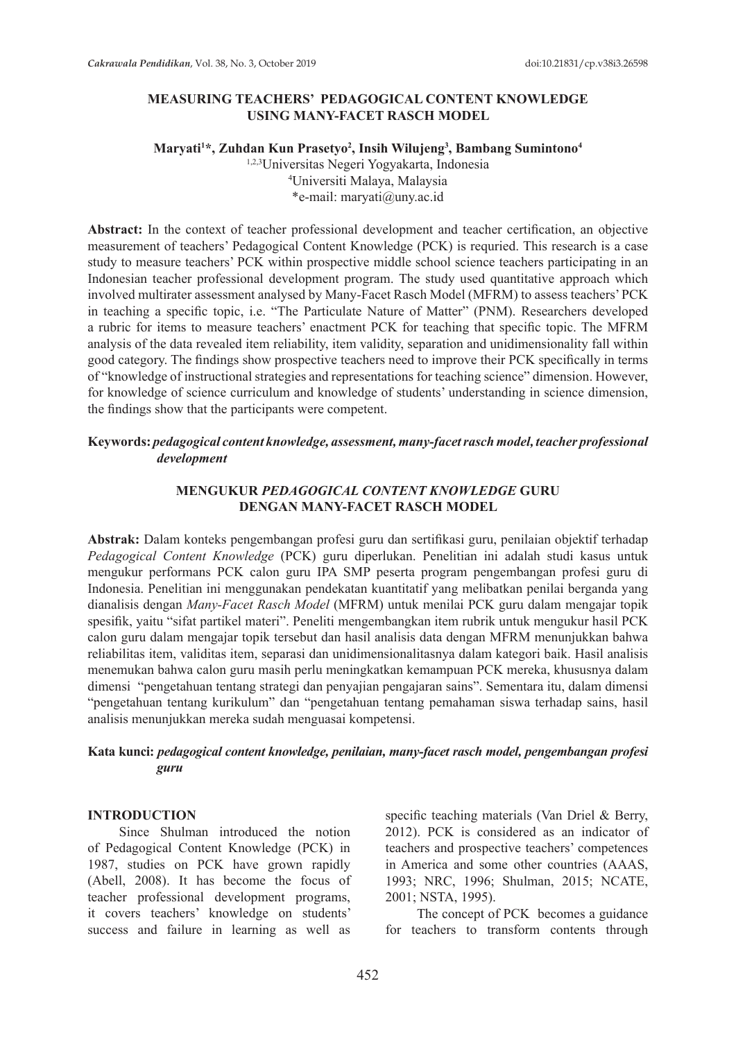# **MEASURING TEACHERS' PEDAGOGICAL CONTENT KNOWLEDGE USING MANY-FACET RASCH MODEL**

#### **Maryati1 \*, Zuhdan Kun Prasetyo2 , Insih Wilujeng3 , Bambang Sumintono4**

1,2,3Universitas Negeri Yogyakarta, Indonesia 4 Universiti Malaya, Malaysia \*e-mail: maryati@uny.ac.id

**Abstract:** In the context of teacher professional development and teacher certification, an objective measurement of teachers' Pedagogical Content Knowledge (PCK) is requried. This research is a case study to measure teachers' PCK within prospective middle school science teachers participating in an Indonesian teacher professional development program. The study used quantitative approach which involved multirater assessment analysed by Many-Facet Rasch Model (MFRM) to assess teachers' PCK in teaching a specific topic, i.e. "The Particulate Nature of Matter" (PNM). Researchers developed a rubric for items to measure teachers' enactment PCK for teaching that specific topic. The MFRM analysis of the data revealed item reliability, item validity, separation and unidimensionality fall within good category. The findings show prospective teachers need to improve their PCK specifically in terms of "knowledge of instructional strategies and representations for teaching science" dimension. However, for knowledge of science curriculum and knowledge of students' understanding in science dimension, the findings show that the participants were competent.

# **Keywords:** *pedagogical content knowledge, assessment, many-facet rasch model, teacher professional development*

### **MENGUKUR** *PEDAGOGICAL CONTENT KNOWLEDGE* **GURU DENGAN MANY-FACET RASCH MODEL**

**Abstrak:** Dalam konteks pengembangan profesi guru dan sertifikasi guru, penilaian objektif terhadap *Pedagogical Content Knowledge* (PCK) guru diperlukan. Penelitian ini adalah studi kasus untuk mengukur performans PCK calon guru IPA SMP peserta program pengembangan profesi guru di Indonesia. Penelitian ini menggunakan pendekatan kuantitatif yang melibatkan penilai berganda yang dianalisis dengan *Many-Facet Rasch Model* (MFRM) untuk menilai PCK guru dalam mengajar topik spesifik, yaitu "sifat partikel materi". Peneliti mengembangkan item rubrik untuk mengukur hasil PCK calon guru dalam mengajar topik tersebut dan hasil analisis data dengan MFRM menunjukkan bahwa reliabilitas item, validitas item, separasi dan unidimensionalitasnya dalam kategori baik. Hasil analisis menemukan bahwa calon guru masih perlu meningkatkan kemampuan PCK mereka, khususnya dalam dimensi "pengetahuan tentang strategi dan penyajian pengajaran sains". Sementara itu, dalam dimensi "pengetahuan tentang kurikulum" dan "pengetahuan tentang pemahaman siswa terhadap sains, hasil analisis menunjukkan mereka sudah menguasai kompetensi.

### **Kata kunci:** *pedagogical content knowledge, penilaian, many-facet rasch model, pengembangan profesi guru*

#### **INTRODUCTION**

Since Shulman introduced the notion of Pedagogical Content Knowledge (PCK) in 1987, studies on PCK have grown rapidly (Abell, 2008). It has become the focus of teacher professional development programs, it covers teachers' knowledge on students' success and failure in learning as well as specific teaching materials (Van Driel & Berry, 2012). PCK is considered as an indicator of teachers and prospective teachers' competences in America and some other countries (AAAS, 1993; NRC, 1996; Shulman, 2015; NCATE, 2001; NSTA, 1995).

The concept of PCK becomes a guidance for teachers to transform contents through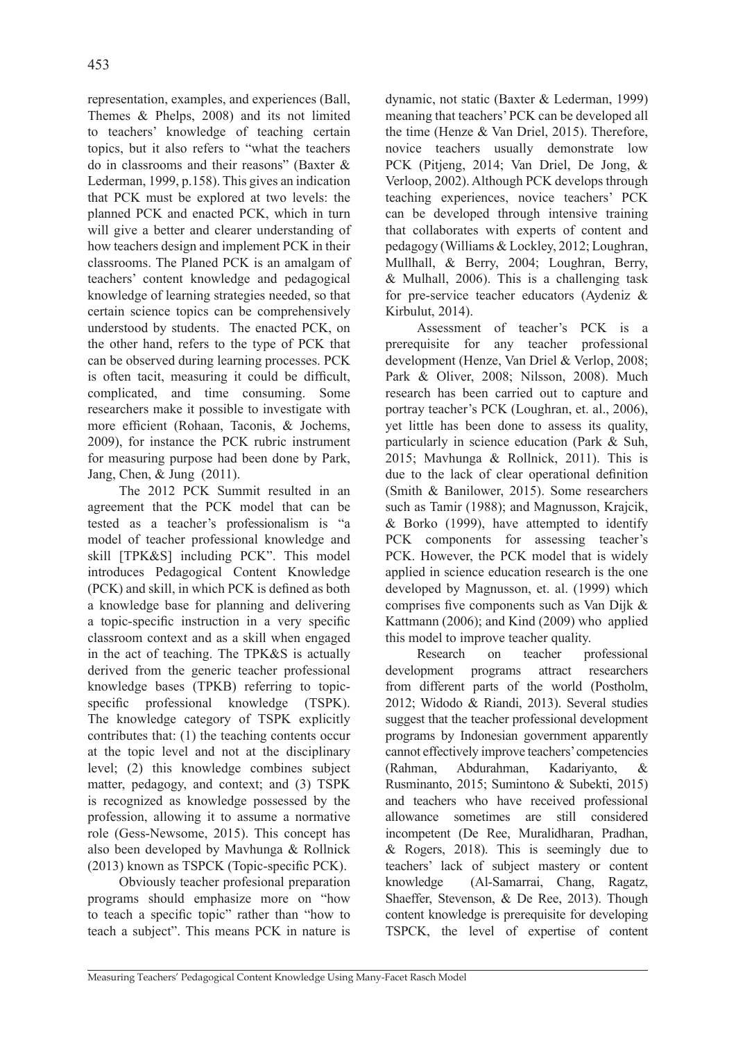representation, examples, and experiences (Ball, Themes & Phelps, 2008) and its not limited to teachers' knowledge of teaching certain topics, but it also refers to "what the teachers do in classrooms and their reasons" (Baxter & Lederman, 1999, p.158). This gives an indication that PCK must be explored at two levels: the planned PCK and enacted PCK, which in turn will give a better and clearer understanding of how teachers design and implement PCK in their classrooms. The Planed PCK is an amalgam of teachers' content knowledge and pedagogical knowledge of learning strategies needed, so that certain science topics can be comprehensively understood by students. The enacted PCK, on the other hand, refers to the type of PCK that can be observed during learning processes. PCK is often tacit, measuring it could be difficult, complicated, and time consuming. Some researchers make it possible to investigate with more efficient (Rohaan, Taconis, & Jochems, 2009), for instance the PCK rubric instrument for measuring purpose had been done by Park, Jang, Chen, & Jung (2011).

The 2012 PCK Summit resulted in an agreement that the PCK model that can be tested as a teacher's professionalism is "a model of teacher professional knowledge and skill [TPK&S] including PCK". This model introduces Pedagogical Content Knowledge (PCK) and skill, in which PCK is defined as both a knowledge base for planning and delivering a topic-specific instruction in a very specific classroom context and as a skill when engaged in the act of teaching. The TPK&S is actually derived from the generic teacher professional knowledge bases (TPKB) referring to topicspecific professional knowledge (TSPK). The knowledge category of TSPK explicitly contributes that: (1) the teaching contents occur at the topic level and not at the disciplinary level; (2) this knowledge combines subject matter, pedagogy, and context; and (3) TSPK is recognized as knowledge possessed by the profession, allowing it to assume a normative role (Gess-Newsome, 2015). This concept has also been developed by Mavhunga & Rollnick (2013) known as TSPCK (Topic-specific PCK).

Obviously teacher profesional preparation programs should emphasize more on "how to teach a specific topic" rather than "how to teach a subject". This means PCK in nature is

dynamic, not static (Baxter & Lederman, 1999) meaning that teachers' PCK can be developed all the time (Henze & Van Driel, 2015). Therefore, novice teachers usually demonstrate low PCK (Pitjeng, 2014; Van Driel, De Jong, & Verloop, 2002).Although PCK develops through teaching experiences, novice teachers' PCK can be developed through intensive training that collaborates with experts of content and pedagogy (Williams & Lockley, 2012; Loughran, Mullhall, & Berry, 2004; Loughran, Berry, & Mulhall, 2006). This is a challenging task for pre-service teacher educators (Aydeniz & Kirbulut, 2014).

Assessment of teacher's PCK is a prerequisite for any teacher professional development (Henze, Van Driel & Verlop, 2008; Park & Oliver, 2008; Nilsson, 2008). Much research has been carried out to capture and portray teacher's PCK (Loughran, et. al., 2006), yet little has been done to assess its quality, particularly in science education (Park & Suh, 2015; Mavhunga & Rollnick, 2011). This is due to the lack of clear operational definition (Smith & Banilower, 2015). Some researchers such as Tamir (1988); and Magnusson, Krajcik, & Borko (1999), have attempted to identify PCK components for assessing teacher's PCK. However, the PCK model that is widely applied in science education research is the one developed by Magnusson, et. al. (1999) which comprises five components such as Van Dijk & Kattmann (2006); and Kind (2009) who applied this model to improve teacher quality.

Research on teacher professional development programs attract researchers from different parts of the world (Postholm, 2012; Widodo & Riandi, 2013). Several studies suggest that the teacher professional development programs by Indonesian government apparently cannot effectively improve teachers' competencies (Rahman, Abdurahman, Kadariyanto, & Rusminanto, 2015; Sumintono & Subekti, 2015) and teachers who have received professional allowance sometimes are still considered incompetent (De Ree, Muralidharan, Pradhan, & Rogers, 2018). This is seemingly due to teachers' lack of subject mastery or content knowledge (Al-Samarrai, Chang, Ragatz, Shaeffer, Stevenson, & De Ree, 2013). Though content knowledge is prerequisite for developing TSPCK, the level of expertise of content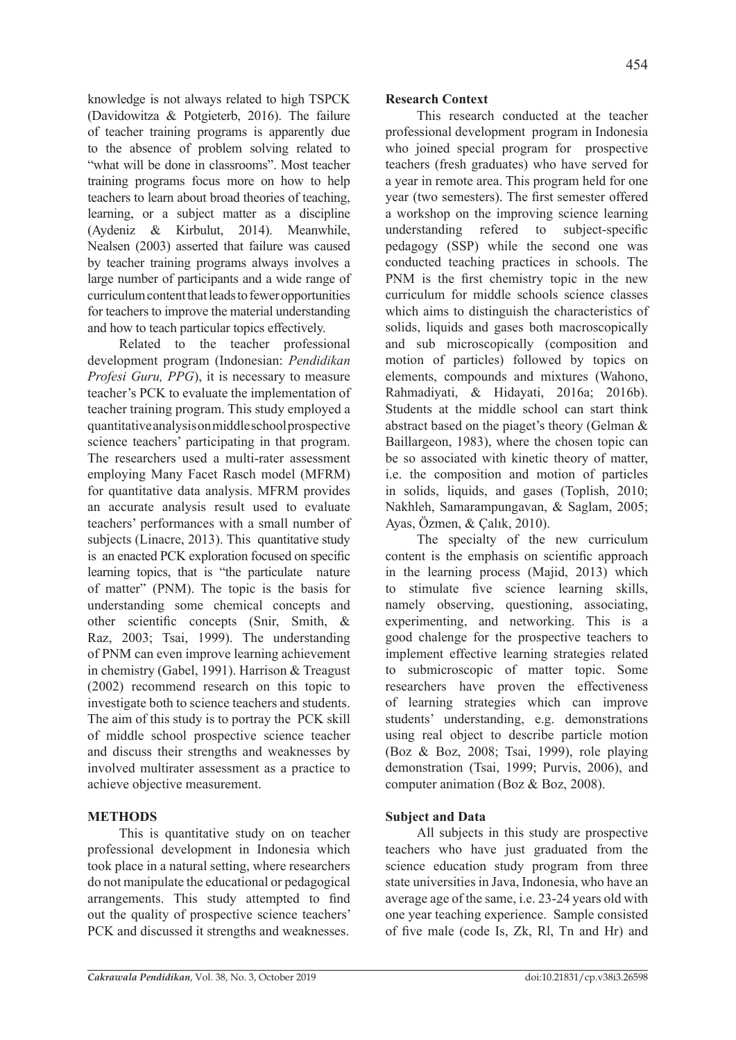knowledge is not always related to high TSPCK (Davidowitza & Potgieterb, 2016). The failure of teacher training programs is apparently due to the absence of problem solving related to "what will be done in classrooms". Most teacher training programs focus more on how to help teachers to learn about broad theories of teaching, learning, or a subject matter as a discipline (Aydeniz & Kirbulut, 2014). Meanwhile, Nealsen (2003) asserted that failure was caused by teacher training programs always involves a large number of participants and a wide range of curriculum content that leads to fewer opportunities for teachers to improve the material understanding and how to teach particular topics effectively.

Related to the teacher professional development program (Indonesian: *Pendidikan Profesi Guru, PPG*), it is necessary to measure teacher's PCK to evaluate the implementation of teacher training program. This study employed a quantitative analysis on middle school prospective science teachers' participating in that program. The researchers used a multi-rater assessment employing Many Facet Rasch model (MFRM) for quantitative data analysis. MFRM provides an accurate analysis result used to evaluate teachers' performances with a small number of subjects (Linacre, 2013). This quantitative study is an enacted PCK exploration focused on specific learning topics, that is "the particulate nature of matter" (PNM). The topic is the basis for understanding some chemical concepts and other scientific concepts (Snir, Smith, & Raz, 2003; Tsai, 1999). The understanding of PNM can even improve learning achievement in chemistry (Gabel, 1991). Harrison & Treagust (2002) recommend research on this topic to investigate both to science teachers and students. The aim of this study is to portray the PCK skill of middle school prospective science teacher and discuss their strengths and weaknesses by involved multirater assessment as a practice to achieve objective measurement.

# **METHODS**

This is quantitative study on on teacher professional development in Indonesia which took place in a natural setting, where researchers do not manipulate the educational or pedagogical arrangements. This study attempted to find out the quality of prospective science teachers' PCK and discussed it strengths and weaknesses.

# **Research Context**

This research conducted at the teacher professional development program in Indonesia who joined special program for prospective teachers (fresh graduates) who have served for a year in remote area. This program held for one year (two semesters). The first semester offered a workshop on the improving science learning understanding refered to subject-specific pedagogy (SSP) while the second one was conducted teaching practices in schools. The PNM is the first chemistry topic in the new curriculum for middle schools science classes which aims to distinguish the characteristics of solids, liquids and gases both macroscopically and sub microscopically (composition and motion of particles) followed by topics on elements, compounds and mixtures (Wahono, Rahmadiyati, & Hidayati, 2016a; 2016b). Students at the middle school can start think abstract based on the piaget's theory (Gelman & Baillargeon, 1983), where the chosen topic can be so associated with kinetic theory of matter, i.e. the composition and motion of particles in solids, liquids, and gases (Toplish, 2010; Nakhleh, Samarampungavan, & Saglam, 2005; Ayas, Özmen, & Çalık, 2010).

The specialty of the new curriculum content is the emphasis on scientific approach in the learning process (Majid, 2013) which to stimulate five science learning skills, namely observing, questioning, associating, experimenting, and networking. This is a good chalenge for the prospective teachers to implement effective learning strategies related to submicroscopic of matter topic. Some researchers have proven the effectiveness of learning strategies which can improve students' understanding, e.g. demonstrations using real object to describe particle motion (Boz & Boz, 2008; Tsai, 1999), role playing demonstration (Tsai, 1999; Purvis, 2006), and computer animation (Boz & Boz, 2008).

# **Subject and Data**

All subjects in this study are prospective teachers who have just graduated from the science education study program from three state universities in Java, Indonesia, who have an average age of the same, i.e. 23-24 years old with one year teaching experience. Sample consisted of five male (code Is, Zk, Rl, Tn and Hr) and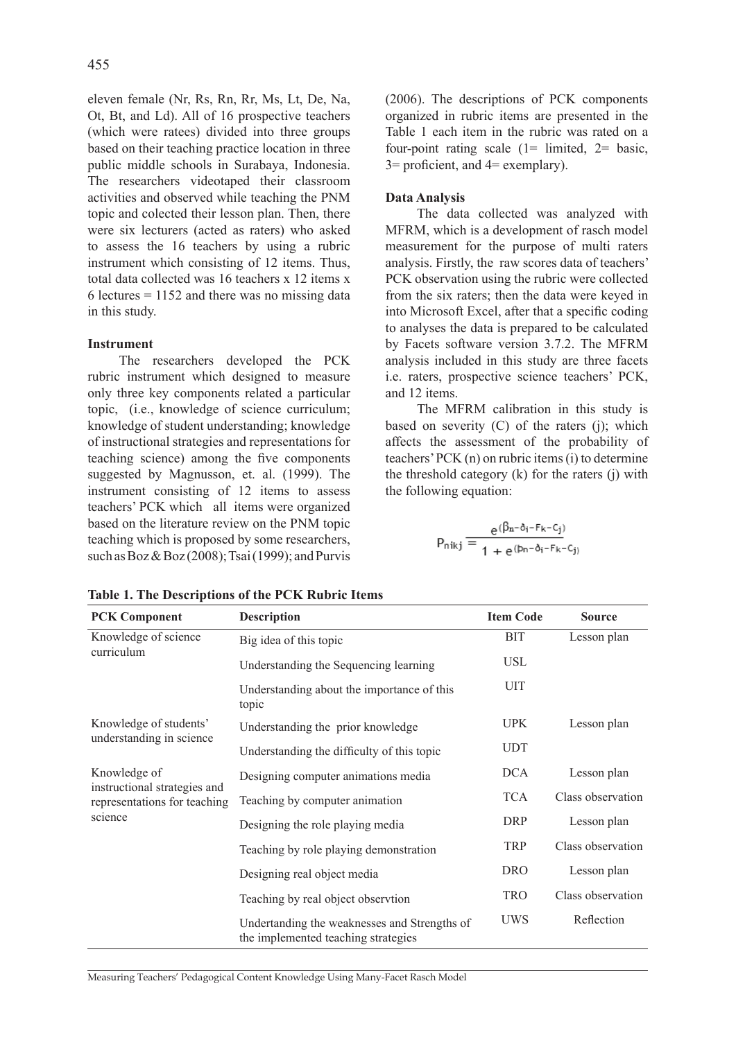eleven female (Nr, Rs, Rn, Rr, Ms, Lt, De, Na, Ot, Bt, and Ld). All of 16 prospective teachers (which were ratees) divided into three groups based on their teaching practice location in three public middle schools in Surabaya, Indonesia. The researchers videotaped their classroom activities and observed while teaching the PNM topic and colected their lesson plan. Then, there were six lecturers (acted as raters) who asked to assess the 16 teachers by using a rubric instrument which consisting of 12 items. Thus, total data collected was 16 teachers x 12 items x 6 lectures  $= 1152$  and there was no missing data in this study.

# **Instrument**

The researchers developed the PCK rubric instrument which designed to measure only three key components related a particular topic, (i.e., knowledge of science curriculum; knowledge of student understanding; knowledge of instructional strategies and representations for teaching science) among the five components suggested by Magnusson, et. al. (1999). The instrument consisting of 12 items to assess teachers' PCK which all items were organized based on the literature review on the PNM topic teaching which is proposed by some researchers, such as  $Boz & Boz (2008)$ ; Tsai (1999); and Purvis (2006). The descriptions of PCK components organized in rubric items are presented in the Table 1 each item in the rubric was rated on a four-point rating scale  $(1=$  limited,  $2=$  basic,  $3=$  proficient, and  $4=$  exemplary).

# **Data Analysis**

The data collected was analyzed with MFRM, which is a development of rasch model measurement for the purpose of multi raters analysis. Firstly, the raw scores data of teachers' PCK observation using the rubric were collected from the six raters; then the data were keyed in into Microsoft Excel, after that a specific coding to analyses the data is prepared to be calculated by Facets software version 3.7.2. The MFRM analysis included in this study are three facets i.e. raters, prospective science teachers' PCK, and 12 items.

The MFRM calibration in this study is based on severity  $(C)$  of the raters  $(i)$ ; which affects the assessment of the probability of teachers' PCK (n) on rubric items (i) to determine the threshold category (k) for the raters (j) with the following equation:

$$
P_{nikj} = \frac{e^{(\beta_n - \delta_i - F_k - C_j)}}{1 + e^{(p_n - \delta_i - F_k - C_j)}}
$$

| <b>PCK Component</b>                                                                    | <b>Description</b>                                                                  | <b>Item Code</b> | <b>Source</b>     |
|-----------------------------------------------------------------------------------------|-------------------------------------------------------------------------------------|------------------|-------------------|
| Knowledge of science                                                                    | Big idea of this topic                                                              | <b>BIT</b>       | Lesson plan       |
| curriculum                                                                              | Understanding the Sequencing learning                                               | <b>USL</b>       |                   |
|                                                                                         | Understanding about the importance of this<br>topic                                 | <b>UIT</b>       |                   |
| Knowledge of students'<br>understanding in science                                      | Understanding the prior knowledge                                                   | <b>UPK</b>       | Lesson plan       |
|                                                                                         | Understanding the difficulty of this topic                                          | <b>UDT</b>       |                   |
| Knowledge of<br>instructional strategies and<br>representations for teaching<br>science | Designing computer animations media                                                 | <b>DCA</b>       | Lesson plan       |
|                                                                                         | Teaching by computer animation                                                      | <b>TCA</b>       | Class observation |
|                                                                                         | Designing the role playing media                                                    | <b>DRP</b>       | Lesson plan       |
|                                                                                         | Teaching by role playing demonstration                                              | <b>TRP</b>       | Class observation |
|                                                                                         | Designing real object media                                                         | <b>DRO</b>       | Lesson plan       |
|                                                                                         | Teaching by real object observtion                                                  | <b>TRO</b>       | Class observation |
|                                                                                         | Undertanding the weaknesses and Strengths of<br>the implemented teaching strategies | <b>UWS</b>       | Reflection        |

**Table 1. The Descriptions of the PCK Rubric Items**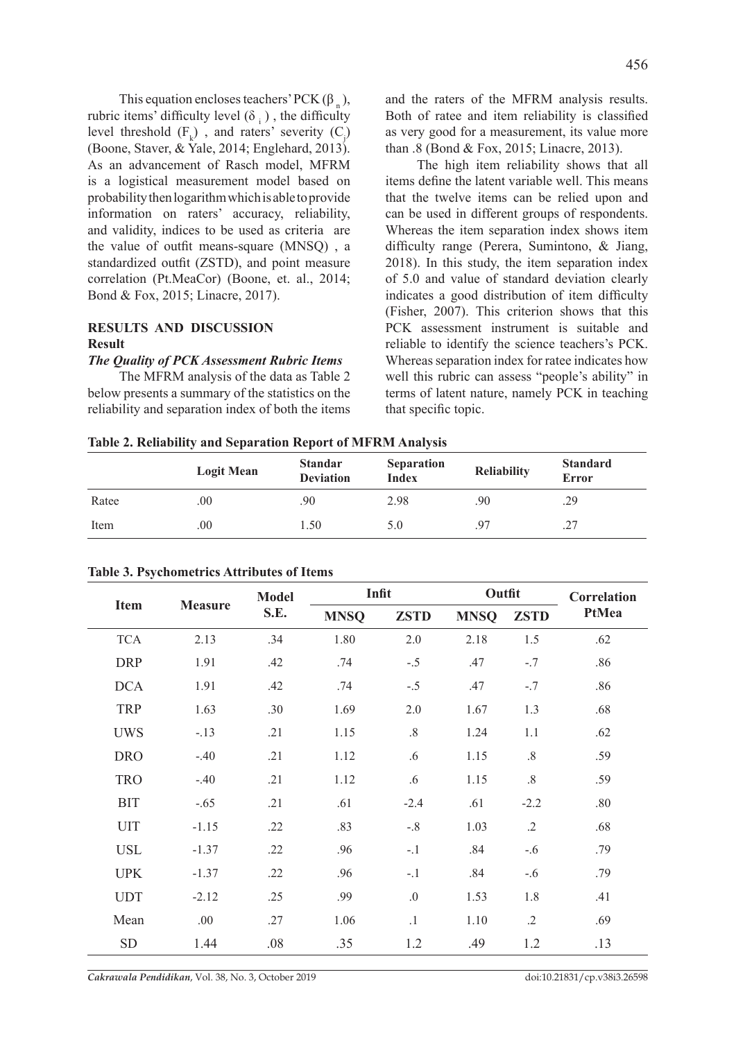This equation encloses teachers' PCK  $(\beta_n)$ , rubric items' difficulty level  $(\delta_+)$ , the difficulty level threshold  $(F_k)$ , and raters' severity  $(C_j)$ (Boone, Staver, & Yale, 2014; Englehard, 2013). As an advancement of Rasch model, MFRM is a logistical measurement model based on probability then logarithm which is able to provide information on raters' accuracy, reliability, and validity, indices to be used as criteria are the value of outfit means-square (MNSQ) , a standardized outfit (ZSTD), and point measure correlation (Pt.MeaCor) (Boone, et. al., 2014; Bond & Fox, 2015; Linacre, 2017).

# **RESULTS AND DISCUSSION Result**

### *The Quality of PCK Assessment Rubric Items*

The MFRM analysis of the data as Table 2 below presents a summary of the statistics on the reliability and separation index of both the items and the raters of the MFRM analysis results. Both of ratee and item reliability is classified as very good for a measurement, its value more than .8 (Bond & Fox, 2015; Linacre, 2013).

The high item reliability shows that all items define the latent variable well. This means that the twelve items can be relied upon and can be used in different groups of respondents. Whereas the item separation index shows item difficulty range (Perera, Sumintono, & Jiang, 2018). In this study, the item separation index of 5.0 and value of standard deviation clearly indicates a good distribution of item difficulty (Fisher, 2007). This criterion shows that this PCK assessment instrument is suitable and reliable to identify the science teachers's PCK. Whereas separation index for ratee indicates how well this rubric can assess "people's ability" in terms of latent nature, namely PCK in teaching that specific topic.

|  |  | Table 2. Reliability and Separation Report of MFRM Analysis |
|--|--|-------------------------------------------------------------|

|       | <b>Logit Mean</b> | <b>Standar</b><br><b>Deviation</b> | <b>Separation</b><br><b>Index</b> | <b>Reliability</b> | <b>Standard</b><br><b>Error</b> |
|-------|-------------------|------------------------------------|-----------------------------------|--------------------|---------------------------------|
| Ratee | 00                | .90                                | 2.98                              | .90                | .29                             |
| Item  | 00                | 1.50                               | 5.0                               | .97                |                                 |

| Item       | <b>Measure</b> | <b>Model</b><br>S.E. | Infit       |             | Outfit      |             | Correlation |
|------------|----------------|----------------------|-------------|-------------|-------------|-------------|-------------|
|            |                |                      | <b>MNSQ</b> | <b>ZSTD</b> | <b>MNSQ</b> | <b>ZSTD</b> | PtMea       |
| <b>TCA</b> | 2.13           | .34                  | 1.80        | 2.0         | 2.18        | 1.5         | .62         |
| <b>DRP</b> | 1.91           | .42                  | .74         | $-.5$       | .47         | $-.7$       | .86         |
| <b>DCA</b> | 1.91           | .42                  | .74         | $-.5$       | .47         | $-.7$       | .86         |
| <b>TRP</b> | 1.63           | .30                  | 1.69        | $2.0$       | 1.67        | 1.3         | .68         |
| <b>UWS</b> | $-.13$         | .21                  | 1.15        | $.8\,$      | 1.24        | 1.1         | .62         |
| <b>DRO</b> | $-.40$         | .21                  | 1.12        | .6          | 1.15        | $.8\,$      | .59         |
| <b>TRO</b> | $-.40$         | .21                  | 1.12        | .6          | 1.15        | $.8\,$      | .59         |
| <b>BIT</b> | $-.65$         | .21                  | .61         | $-2.4$      | .61         | $-2.2$      | .80         |
| <b>UIT</b> | $-1.15$        | .22                  | .83         | $-.8$       | 1.03        | $.2\,$      | .68         |
| <b>USL</b> | $-1.37$        | .22                  | .96         | $-.1$       | .84         | $-.6$       | .79         |
| <b>UPK</b> | $-1.37$        | .22                  | .96         | $-1$        | .84         | $-.6$       | .79         |
| <b>UDT</b> | $-2.12$        | .25                  | .99         | .0          | 1.53        | 1.8         | .41         |
| Mean       | .00            | .27                  | 1.06        | $\cdot$ 1   | 1.10        | $.2\,$      | .69         |
| <b>SD</b>  | 1.44           | .08                  | .35         | 1.2         | .49         | 1.2         | .13         |

### **Table 3. Psychometrics Attributes of Items**

*Cakrawala Pendidikan*, Vol. 38, No. 3, October 2019 doi:10.21831/cp.v38i3.26598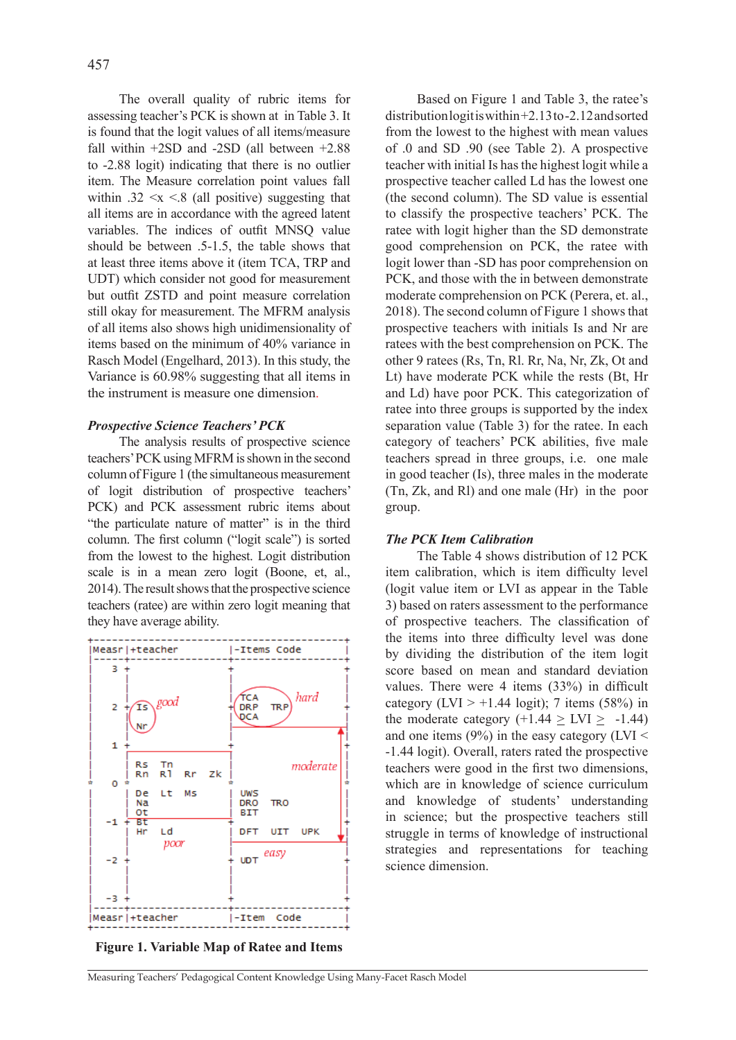The overall quality of rubric items for assessing teacher's PCK is shown at in Table 3. It is found that the logit values of all items/measure fall within +2SD and -2SD (all between +2.88 to -2.88 logit) indicating that there is no outlier item. The Measure correlation point values fall within .32  $\leq x \leq 8$  (all positive) suggesting that all items are in accordance with the agreed latent variables. The indices of outfit MNSQ value should be between .5-1.5, the table shows that at least three items above it (item TCA, TRP and UDT) which consider not good for measurement but outfit ZSTD and point measure correlation still okay for measurement. The MFRM analysis of all items also shows high unidimensionality of items based on the minimum of 40% variance in Rasch Model (Engelhard, 2013). In this study, the Variance is 60.98% suggesting that all items in the instrument is measure one dimension.

### *Prospective Science Teachers' PCK*

The analysis results of prospective science teachers' PCK using MFRM is shown in the second column of Figure 1 (the simultaneous measurement of logit distribution of prospective teachers' PCK) and PCK assessment rubric items about "the particulate nature of matter" is in the third column. The first column ("logit scale") is sorted from the lowest to the highest. Logit distribution scale is in a mean zero logit (Boone, et, al., 2014).The result shows that the prospective science teachers (ratee) are within zero logit meaning that they have average ability.



**Figure 1. Variable Map of Ratee and Items**

Based on Figure 1 and Table 3, the ratee's distribution logit is within +2.13 to-2.12 and sorted from the lowest to the highest with mean values of .0 and SD .90 (see Table 2). A prospective teacher with initial Is has the highest logit while a prospective teacher called Ld has the lowest one (the second column). The SD value is essential to classify the prospective teachers' PCK. The ratee with logit higher than the SD demonstrate good comprehension on PCK, the ratee with logit lower than -SD has poor comprehension on PCK, and those with the in between demonstrate moderate comprehension on PCK (Perera, et. al., 2018). The second column of Figure 1 shows that prospective teachers with initials Is and Nr are ratees with the best comprehension on PCK. The other 9 ratees (Rs, Tn, Rl. Rr, Na, Nr, Zk, Ot and Lt) have moderate PCK while the rests (Bt, Hr and Ld) have poor PCK. This categorization of ratee into three groups is supported by the index separation value (Table 3) for the ratee. In each category of teachers' PCK abilities, five male teachers spread in three groups, i.e. one male in good teacher (Is), three males in the moderate (Tn, Zk, and Rl) and one male (Hr) in the poor group.

#### *The PCK Item Calibration*

The Table 4 shows distribution of 12 PCK item calibration, which is item difficulty level (logit value item or LVI as appear in the Table 3) based on raters assessment to the performance of prospective teachers. The classification of the items into three difficulty level was done by dividing the distribution of the item logit score based on mean and standard deviation values. There were 4 items (33%) in difficult category (LVI  $> +1.44$  logit); 7 items (58%) in the moderate category  $(+1.44 > LVI > -1.44)$ and one items  $(9\%)$  in the easy category (LVI < -1.44 logit). Overall, raters rated the prospective teachers were good in the first two dimensions, which are in knowledge of science curriculum and knowledge of students' understanding in science; but the prospective teachers still struggle in terms of knowledge of instructional strategies and representations for teaching science dimension.

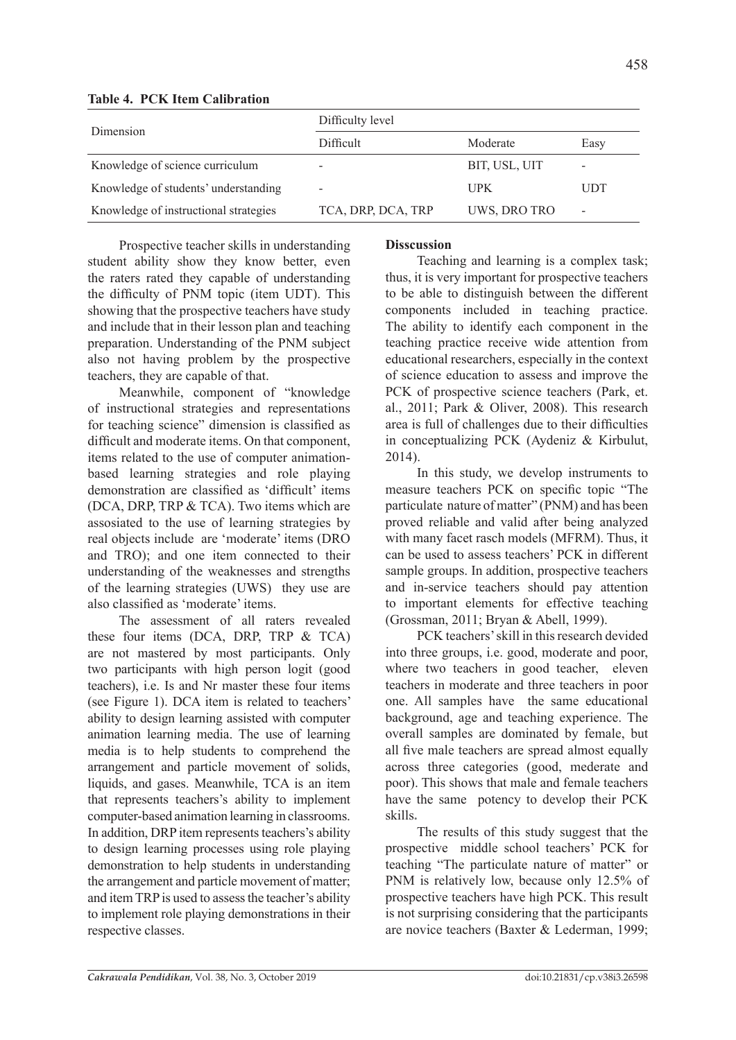| Dimension                                               | Difficult          | Moderate      | Easy                     |  |  |  |
|---------------------------------------------------------|--------------------|---------------|--------------------------|--|--|--|
| Knowledge of science curriculum                         |                    | BIT, USL, UIT |                          |  |  |  |
| Knowledge of students' understanding                    |                    | <b>UPK</b>    | UDT                      |  |  |  |
| Knowledge of instructional strategies                   | TCA, DRP, DCA, TRP | UWS, DRO TRO  | $\overline{\phantom{a}}$ |  |  |  |
| $D_{\text{reconoative}$ too har akilla in understanding | <b>Dissoussion</b> |               |                          |  |  |  |

Difficulty level

# **Table 4. PCK Item Calibration**

Prospective teacher skills in understanding student ability show they know better, even the raters rated they capable of understanding the difficulty of PNM topic (item UDT). This showing that the prospective teachers have study and include that in their lesson plan and teaching preparation. Understanding of the PNM subject also not having problem by the prospective teachers, they are capable of that.

Meanwhile, component of "knowledge of instructional strategies and representations for teaching science" dimension is classified as difficult and moderate items. On that component, items related to the use of computer animationbased learning strategies and role playing demonstration are classified as 'difficult' items (DCA, DRP, TRP & TCA). Two items which are assosiated to the use of learning strategies by real objects include are 'moderate' items (DRO and TRO); and one item connected to their understanding of the weaknesses and strengths of the learning strategies (UWS) they use are also classified as 'moderate' items.

The assessment of all raters revealed these four items (DCA, DRP, TRP & TCA) are not mastered by most participants. Only two participants with high person logit (good teachers), i.e. Is and Nr master these four items (see Figure 1). DCA item is related to teachers' ability to design learning assisted with computer animation learning media. The use of learning media is to help students to comprehend the arrangement and particle movement of solids, liquids, and gases. Meanwhile, TCA is an item that represents teachers's ability to implement computer-based animation learning in classrooms. In addition, DRP item represents teachers's ability to design learning processes using role playing demonstration to help students in understanding the arrangement and particle movement of matter; and item TRP is used to assess the teacher's ability to implement role playing demonstrations in their respective classes.

# **Disscussion**

Teaching and learning is a complex task; thus, it is very important for prospective teachers to be able to distinguish between the different components included in teaching practice. The ability to identify each component in the teaching practice receive wide attention from educational researchers, especially in the context of science education to assess and improve the PCK of prospective science teachers (Park, et. al., 2011; Park & Oliver, 2008). This research area is full of challenges due to their difficulties in conceptualizing PCK (Aydeniz & Kirbulut, 2014).

In this study, we develop instruments to measure teachers PCK on specific topic "The particulate nature of matter" (PNM) and has been proved reliable and valid after being analyzed with many facet rasch models (MFRM). Thus, it can be used to assess teachers' PCK in different sample groups. In addition, prospective teachers and in-service teachers should pay attention to important elements for effective teaching (Grossman, 2011; Bryan & Abell, 1999).

PCK teachers' skill in this research devided into three groups, i.e. good, moderate and poor, where two teachers in good teacher, eleven teachers in moderate and three teachers in poor one. All samples have the same educational background, age and teaching experience. The overall samples are dominated by female, but all five male teachers are spread almost equally across three categories (good, mederate and poor). This shows that male and female teachers have the same potency to develop their PCK skills**.**

The results of this study suggest that the prospective middle school teachers' PCK for teaching "The particulate nature of matter" or PNM is relatively low, because only 12.5% of prospective teachers have high PCK. This result is not surprising considering that the participants are novice teachers (Baxter & Lederman, 1999;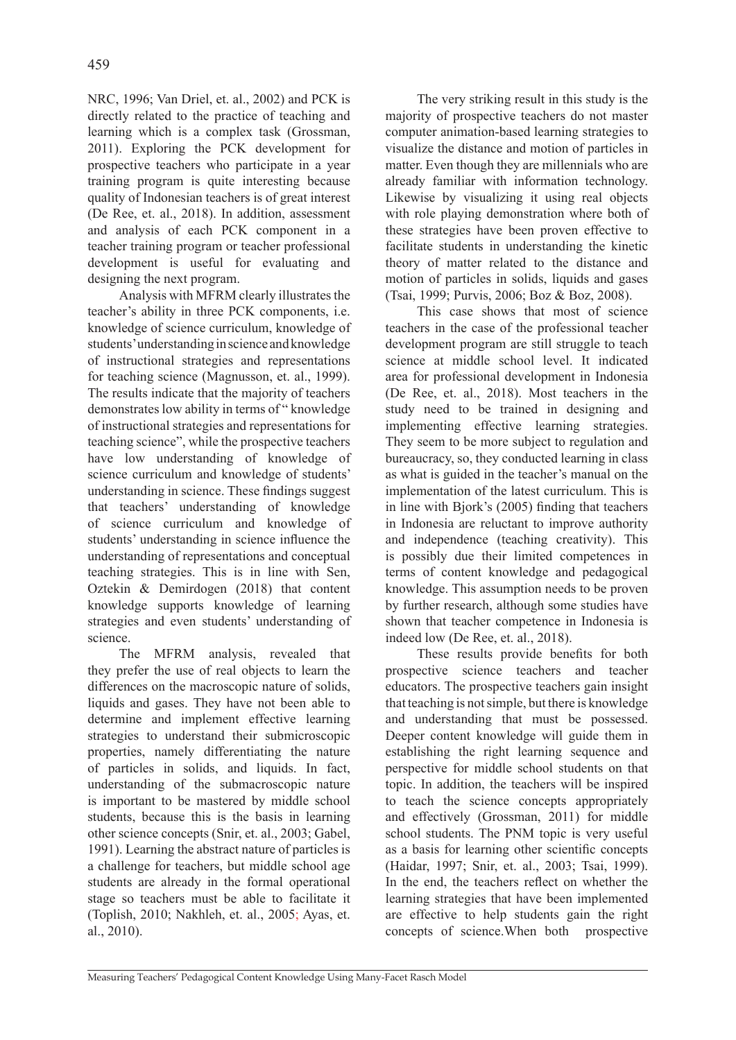NRC, 1996; Van Driel, et. al., 2002) and PCK is directly related to the practice of teaching and learning which is a complex task (Grossman, 2011). Exploring the PCK development for prospective teachers who participate in a year training program is quite interesting because quality of Indonesian teachers is of great interest (De Ree, et. al., 2018). In addition, assessment and analysis of each PCK component in a teacher training program or teacher professional development is useful for evaluating and designing the next program.

Analysis with MFRM clearly illustrates the teacher's ability in three PCK components, i.e. knowledge of science curriculum, knowledge of students' understanding in science and knowledge of instructional strategies and representations for teaching science (Magnusson, et. al., 1999). The results indicate that the majority of teachers demonstrates low ability in terms of " knowledge of instructional strategies and representations for teaching science", while the prospective teachers have low understanding of knowledge of science curriculum and knowledge of students' understanding in science. These findings suggest that teachers' understanding of knowledge of science curriculum and knowledge of students' understanding in science influence the understanding of representations and conceptual teaching strategies. This is in line with Sen, Oztekin & Demirdogen (2018) that content knowledge supports knowledge of learning strategies and even students' understanding of science.

The MFRM analysis, revealed that they prefer the use of real objects to learn the differences on the macroscopic nature of solids, liquids and gases. They have not been able to determine and implement effective learning strategies to understand their submicroscopic properties, namely differentiating the nature of particles in solids, and liquids. In fact, understanding of the submacroscopic nature is important to be mastered by middle school students, because this is the basis in learning other science concepts (Snir, et. al., 2003; Gabel, 1991). Learning the abstract nature of particles is a challenge for teachers, but middle school age students are already in the formal operational stage so teachers must be able to facilitate it (Toplish, 2010; Nakhleh, et. al., 2005; Ayas, et. al., 2010).

The very striking result in this study is the majority of prospective teachers do not master computer animation-based learning strategies to visualize the distance and motion of particles in matter. Even though they are millennials who are already familiar with information technology. Likewise by visualizing it using real objects with role playing demonstration where both of these strategies have been proven effective to facilitate students in understanding the kinetic theory of matter related to the distance and motion of particles in solids, liquids and gases (Tsai, 1999; Purvis, 2006; Boz & Boz, 2008).

This case shows that most of science teachers in the case of the professional teacher development program are still struggle to teach science at middle school level. It indicated area for professional development in Indonesia (De Ree, et. al., 2018). Most teachers in the study need to be trained in designing and implementing effective learning strategies. They seem to be more subject to regulation and bureaucracy, so, they conducted learning in class as what is guided in the teacher's manual on the implementation of the latest curriculum. This is in line with Bjork's (2005) finding that teachers in Indonesia are reluctant to improve authority and independence (teaching creativity). This is possibly due their limited competences in terms of content knowledge and pedagogical knowledge. This assumption needs to be proven by further research, although some studies have shown that teacher competence in Indonesia is indeed low (De Ree, et. al., 2018).

These results provide benefits for both prospective science teachers and teacher educators. The prospective teachers gain insight that teaching is not simple, but there is knowledge and understanding that must be possessed. Deeper content knowledge will guide them in establishing the right learning sequence and perspective for middle school students on that topic. In addition, the teachers will be inspired to teach the science concepts appropriately and effectively (Grossman, 2011) for middle school students. The PNM topic is very useful as a basis for learning other scientific concepts (Haidar, 1997; Snir, et. al., 2003; Tsai, 1999). In the end, the teachers reflect on whether the learning strategies that have been implemented are effective to help students gain the right concepts of science.When both prospective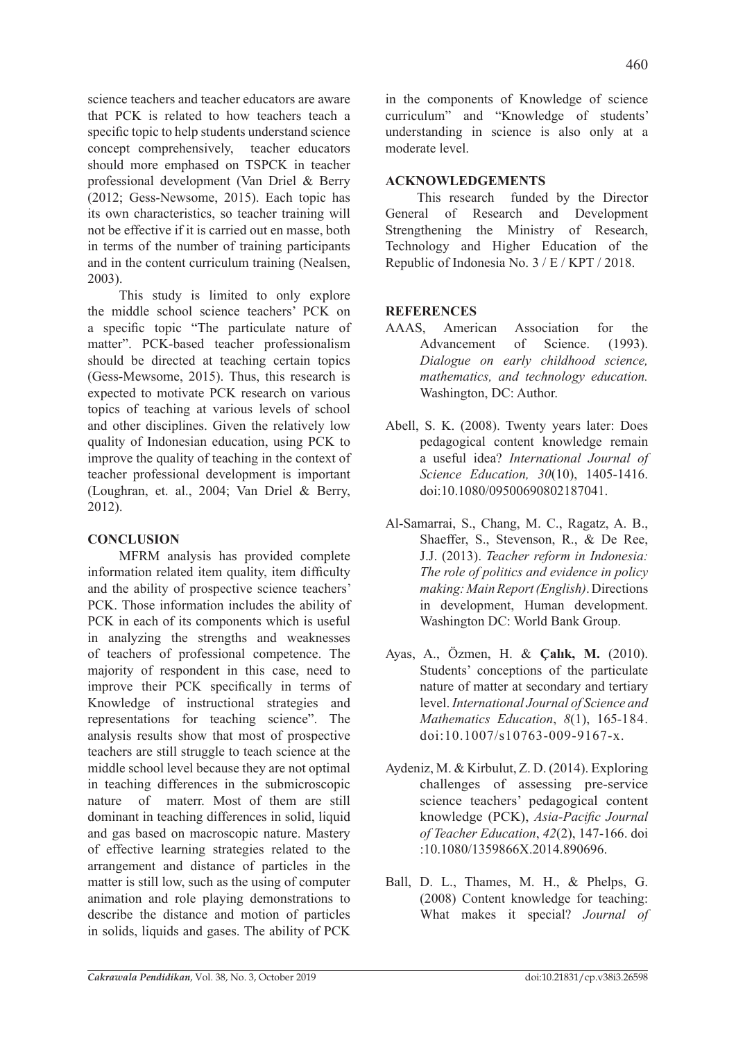science teachers and teacher educators are aware that PCK is related to how teachers teach a specific topic to help students understand science concept comprehensively, teacher educators should more emphased on TSPCK in teacher professional development (Van Driel & Berry (2012; Gess-Newsome, 2015). Each topic has its own characteristics, so teacher training will not be effective if it is carried out en masse, both in terms of the number of training participants and in the content curriculum training (Nealsen, 2003).

This study is limited to only explore the middle school science teachers' PCK on a specific topic "The particulate nature of matter". PCK-based teacher professionalism should be directed at teaching certain topics (Gess-Mewsome, 2015). Thus, this research is expected to motivate PCK research on various topics of teaching at various levels of school and other disciplines. Given the relatively low quality of Indonesian education, using PCK to improve the quality of teaching in the context of teacher professional development is important (Loughran, et. al., 2004; Van Driel & Berry, 2012).

# **CONCLUSION**

MFRM analysis has provided complete information related item quality, item difficulty and the ability of prospective science teachers' PCK. Those information includes the ability of PCK in each of its components which is useful in analyzing the strengths and weaknesses of teachers of professional competence. The majority of respondent in this case, need to improve their PCK specifically in terms of Knowledge of instructional strategies and representations for teaching science". The analysis results show that most of prospective teachers are still struggle to teach science at the middle school level because they are not optimal in teaching differences in the submicroscopic nature of materr. Most of them are still dominant in teaching differences in solid, liquid and gas based on macroscopic nature. Mastery of effective learning strategies related to the arrangement and distance of particles in the matter is still low, such as the using of computer animation and role playing demonstrations to describe the distance and motion of particles in solids, liquids and gases. The ability of PCK in the components of Knowledge of science curriculum" and "Knowledge of students' understanding in science is also only at a moderate level.

# **ACKNOWLEDGEMENTS**

This research funded by the Director General of Research and Development Strengthening the Ministry of Research, Technology and Higher Education of the Republic of Indonesia No. 3 / E / KPT / 2018.

# **REFERENCES**

- AAAS, American Association for the Advancement of Science. (1993). *Dialogue on early childhood science, mathematics, and technology education.* Washington, DC: Author.
- Abell, S. K. (2008). Twenty years later: Does pedagogical content knowledge remain a useful idea? *International Journal of Science Education, 30*(10), 1405-1416. doi:10.1080/09500690802187041.
- Al-Samarrai, S., Chang, M. C., Ragatz, A. B., Shaeffer, S., Stevenson, R., & De Ree, J.J. (2013). *Teacher reform in Indonesia: The role of politics and evidence in policy making: Main Report (English)*. Directions in development, Human development. Washington DC: World Bank Group.
- Ayas, A., Özmen, H. & **Çalık, M.** (2010). Students' conceptions of the particulate nature of matter at secondary and tertiary level. *International Journal of Science and Mathematics Education*, *8*(1), 165*-*184. doi:10.1007/s10763-009-9167-x.
- Aydeniz, M. & Kirbulut, Z. D. (2014). Exploring challenges of assessing pre-service science teachers' pedagogical content knowledge (PCK), *Asia-Pacific Journal of Teacher Education*, *42*(2), 147-166. doi :10.1080/1359866X.2014.890696.
- Ball, D. L., Thames, M. H., & Phelps, G. (2008) Content knowledge for teaching: What makes it special? *Journal of*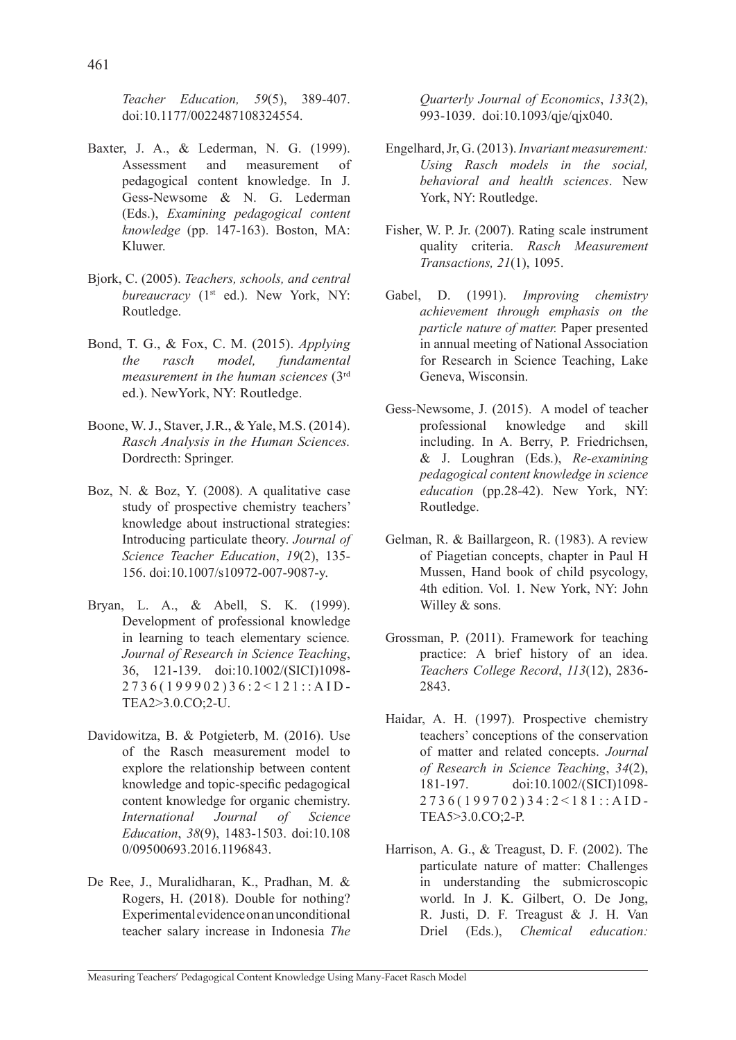*Teacher Education, 59*(5), 389-407. doi:10.1177/0022487108324554.

- Baxter, J. A., & Lederman, N. G. (1999). Assessment and measurement of pedagogical content knowledge. In J. Gess-Newsome & N. G. Lederman (Eds.), *Examining pedagogical content knowledge* (pp. 147-163). Boston, MA: Kluwer.
- Bjork, C. (2005). *Teachers, schools, and central bureaucracy* (1<sup>st</sup> ed.). New York, NY: Routledge.
- Bond, T. G., & Fox, C. M. (2015). *Applying the rasch model, fundamental measurement in the human sciences* (3rd ed.). NewYork, NY: Routledge.
- Boone, W. J., Staver, J.R., & Yale, M.S. (2014). *Rasch Analysis in the Human Sciences.* Dordrecth: Springer.
- Boz, N. & Boz, Y. (2008). A qualitative case study of prospective chemistry teachers' knowledge about instructional strategies: Introducing particulate theory. *Journal of Science Teacher Education*, *19*(2), 135- 156. doi:10.1007/s10972-007-9087-y.
- Bryan, L. A., & Abell, S. K. (1999). Development of professional knowledge in learning to teach elementary science*. Journal of Research in Science Teaching*, 36, 121-139. doi:10.1002/(SICI)1098- 2736(199902)36:2<121::AID-TEA2>3.0.CO;2-U.
- Davidowitza, B. & Potgieterb, M. (2016). Use of the Rasch measurement model to explore the relationship between content knowledge and topic-specific pedagogical content knowledge for organic chemistry. *International Journal of Science Education*, *38*(9), 1483-1503. doi:10.108 0/09500693.2016.1196843.
- De Ree, J., Muralidharan, K., Pradhan, M. & Rogers, H. (2018). Double for nothing? Experimental evidence on an unconditional teacher salary increase in Indonesia *The*

*Quarterly Journal of Economics*, *133*(2), 993-1039. doi:10.1093/qje/qjx040.

- Engelhard, Jr, G. (2013). *Invariant measurement: Using Rasch models in the social, behavioral and health sciences*. New York, NY: Routledge.
- Fisher, W. P. Jr. (2007). Rating scale instrument quality criteria. *Rasch Measurement Transactions, 21*(1), 1095.
- Gabel, D. (1991). *Improving chemistry achievement through emphasis on the particle nature of matter.* Paper presented in annual meeting of National Association for Research in Science Teaching, Lake Geneva, Wisconsin.
- Gess-Newsome, J. (2015). A model of teacher professional knowledge and skill including. In A. Berry, P. Friedrichsen, & J. Loughran (Eds.), *Re-examining pedagogical content knowledge in science education* (pp.28-42). New York, NY: Routledge.
- Gelman, R. & Baillargeon, R. (1983). A review of Piagetian concepts, chapter in Paul H Mussen, Hand book of child psycology, 4th edition. Vol. 1. New York, NY: John Willey & sons.
- Grossman, P. (2011). Framework for teaching practice: A brief history of an idea. *Teachers College Record*, *113*(12), 2836- 2843.
- Haidar, A. H. (1997). Prospective chemistry teachers' conceptions of the conservation of matter and related concepts. *Journal of Research in Science Teaching*, *34*(2), 181-197. doi:10.1002/(SICI)1098- 2736(199702)34:2<181::AID-TEA5>3.0.CO;2-P.
- Harrison, A. G., & Treagust, D. F. (2002). The particulate nature of matter: Challenges in understanding the submicroscopic world. In J. K. Gilbert, O. De Jong, R. Justi, D. F. Treagust & J. H. Van Driel (Eds.), *Chemical education:*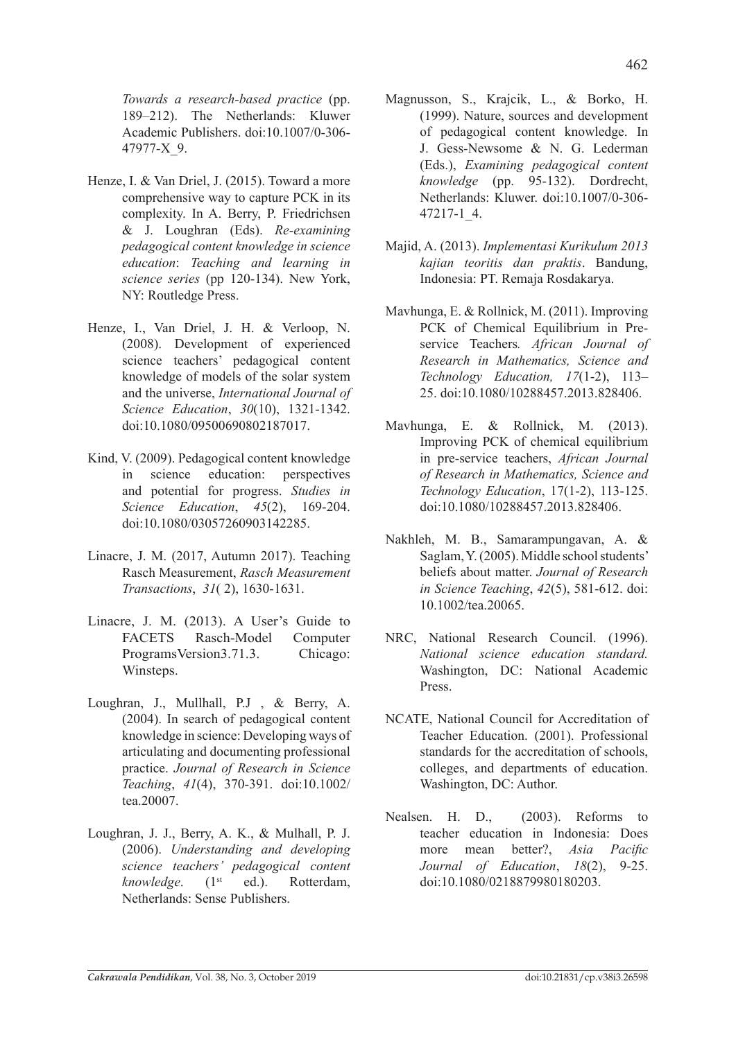462

*Towards a research-based practice* (pp. 189–212). The Netherlands: Kluwer Academic Publishers. doi:10.1007/0-306- 47977-X\_9.

- Henze, I. & Van Driel, J. (2015). Toward a more comprehensive way to capture PCK in its complexity. In A. Berry, P. Friedrichsen & J. Loughran (Eds). *Re-examining pedagogical content knowledge in science education*: *Teaching and learning in science series* (pp 120-134). New York, NY: Routledge Press.
- Henze, I., Van Driel, J. H. & Verloop, N. (2008). Development of experienced science teachers' pedagogical content knowledge of models of the solar system and the universe, *International Journal of Science Education*, *30*(10), 1321-1342. doi:10.1080/09500690802187017.
- Kind, V. (2009). Pedagogical content knowledge in science education: perspectives and potential for progress. *Studies in Science Education*, *45*(2), 169-204. doi:10.1080/03057260903142285.
- Linacre, J. M. (2017, Autumn 2017). Teaching Rasch Measurement, *Rasch Measurement Transactions*, *31*( 2), 1630-1631.
- Linacre, J. M. (2013). A User's Guide to FACETS Rasch-Model Computer ProgramsVersion3.71.3. Chicago: Winsteps.
- Loughran, J., Mullhall, P.J , & Berry, A. (2004). In search of pedagogical content knowledge in science: Developing ways of articulating and documenting professional practice. *Journal of Research in Science Teaching*, *41*(4), 370-391. doi:10.1002/ tea.20007.
- Loughran, J. J., Berry, A. K., & Mulhall, P. J. (2006). *Understanding and developing science teachers' pedagogical content knowledge.* (1<sup>st</sup> ed.). Rotterdam, Netherlands: Sense Publishers.
- Magnusson, S., Krajcik, L., & Borko, H. (1999). Nature, sources and development of pedagogical content knowledge. In J. Gess-Newsome & N. G. Lederman (Eds.), *Examining pedagogical content knowledge* (pp. 95-132). Dordrecht, Netherlands: Kluwer. doi:10.1007/0-306- 47217-1\_4.
- Majid, A. (2013). *Implementasi Kurikulum 2013 kajian teoritis dan praktis*. Bandung, Indonesia: PT. Remaja Rosdakarya.
- Mavhunga, E. & Rollnick, M. (2011). Improving PCK of Chemical Equilibrium in Preservice Teachers*. African Journal of Research in Mathematics, Science and Technology Education, 17*(1-2), 113– 25. doi:10.1080/10288457.2013.828406.
- Mavhunga, E. & Rollnick, M. (2013). Improving PCK of chemical equilibrium in pre-service teachers, *African Journal of Research in Mathematics, Science and Technology Education*, 17(1-2), 113-125. doi:10.1080/10288457.2013.828406.
- Nakhleh, M. B., Samarampungavan, A. & Saglam, Y. (2005). Middle school students' beliefs about matter. *Journal of Research in Science Teaching*, *42*(5), 581-612. doi: 10.1002/tea.20065.
- NRC, National Research Council. (1996). *National science education standard.* Washington, DC: National Academic Press.
- NCATE, National Council for Accreditation of Teacher Education. (2001). Professional standards for the accreditation of schools, colleges, and departments of education. Washington, DC: Author.
- Nealsen. H. D., (2003). Reforms to teacher education in Indonesia: Does more mean better?, *Asia Pacific Journal of Education*, *18*(2), 9-25. doi:10.1080/0218879980180203.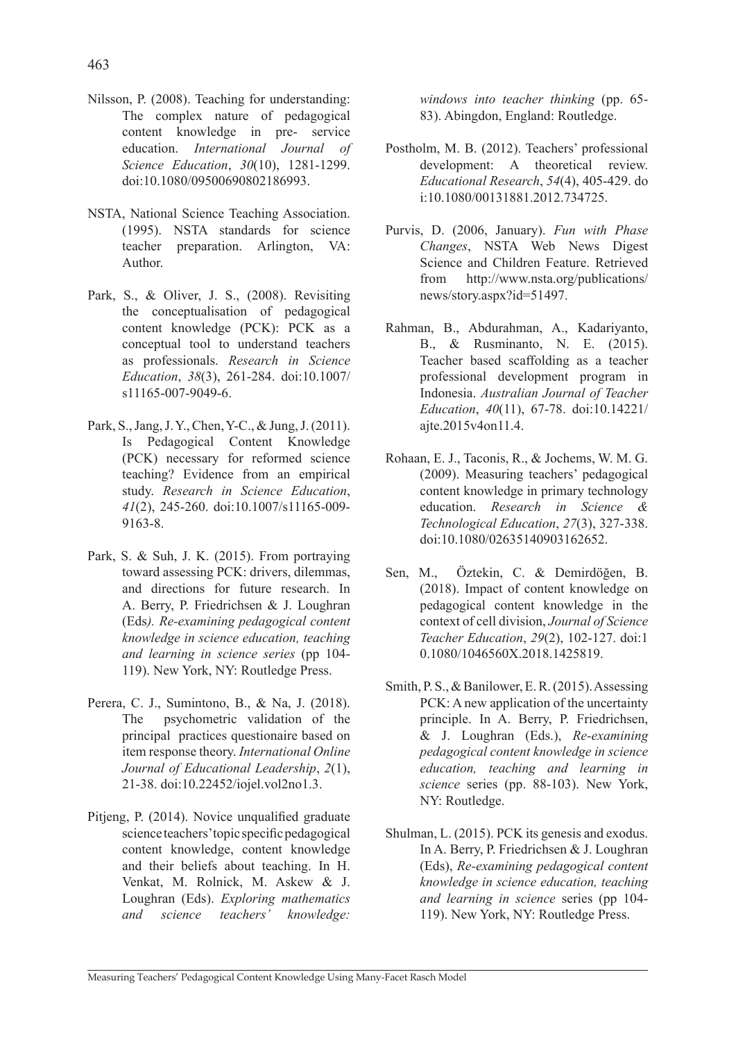- Nilsson, P. (2008). Teaching for understanding: The complex nature of pedagogical content knowledge in pre- service education. *International Journal of Science Education*, *30*(10), 1281-1299. doi:10.1080/09500690802186993.
- NSTA, National Science Teaching Association. (1995). NSTA standards for science teacher preparation. Arlington, VA: Author.
- Park, S., & Oliver, J. S., (2008). Revisiting the conceptualisation of pedagogical content knowledge (PCK): PCK as a conceptual tool to understand teachers as professionals. *Research in Science Education*, *38*(3), 261-284. doi:10.1007/ s11165-007-9049-6.
- Park, S., Jang, J. Y., Chen, Y-C., & Jung, J. (2011). Is Pedagogical Content Knowledge (PCK) necessary for reformed science teaching? Evidence from an empirical study. *Research in Science Education*, *41*(2), 245-260. doi:10.1007/s11165-009- 9163-8.
- Park, S. & Suh, J. K. (2015). From portraying toward assessing PCK: drivers, dilemmas, and directions for future research. In A. Berry, P. Friedrichsen & J. Loughran (Eds*). Re-examining pedagogical content knowledge in science education, teaching and learning in science series* (pp 104- 119). New York, NY: Routledge Press.
- Perera, C. J., Sumintono, B., & Na, J. (2018). The psychometric validation of the principal practices questionaire based on item response theory. *International Online Journal of Educational Leadership*, *2*(1), 21-38. doi:10.22452/iojel.vol2no1.3.
- Pitjeng, P. (2014). Novice unqualified graduate science teachers' topic specific pedagogical content knowledge, content knowledge and their beliefs about teaching. In H. Venkat, M. Rolnick, M. Askew & J. Loughran (Eds). *Exploring mathematics and science teachers' knowledge:*

*windows into teacher thinking* (pp. 65- 83). Abingdon, England: Routledge.

- Postholm, M. B. (2012). Teachers' professional development: A theoretical review. *Educational Research*, *54*(4), 405-429. do i:10.1080/00131881.2012.734725.
- Purvis, D. (2006, January). *Fun with Phase Changes*, NSTA Web News Digest Science and Children Feature. Retrieved from http://www.nsta.org/publications/ news/story.aspx?id=51497.
- Rahman, B., Abdurahman, A., Kadariyanto, B., & Rusminanto, N. E. (2015). Teacher based scaffolding as a teacher professional development program in Indonesia. *Australian Journal of Teacher Education*, *40*(11), 67-78. doi:10.14221/ ajte.2015v4on11.4.
- Rohaan, E. J., Taconis, R., & Jochems, W. M. G. (2009). Measuring teachers' pedagogical content knowledge in primary technology education. *Research in Science & Technological Education*, *27*(3), 327-338. doi:10.1080/02635140903162652.
- Sen, M., Öztekin, C. & Demirdöğen, B. (2018). Impact of content knowledge on pedagogical content knowledge in the context of cell division, *Journal of Science Teacher Education*, *29*(2), 102-127. doi:1 0.1080/1046560X.2018.1425819.
- Smith, P. S., & Banilower, E. R. (2015). Assessing PCK: A new application of the uncertainty principle. In A. Berry, P. Friedrichsen, & J. Loughran (Eds.), *Re-examining pedagogical content knowledge in science education, teaching and learning in science* series (pp. 88-103). New York, NY: Routledge.
- Shulman, L. (2015). PCK its genesis and exodus. In A. Berry, P. Friedrichsen & J. Loughran (Eds), *Re-examining pedagogical content knowledge in science education, teaching and learning in science* series (pp 104- 119). New York, NY: Routledge Press.